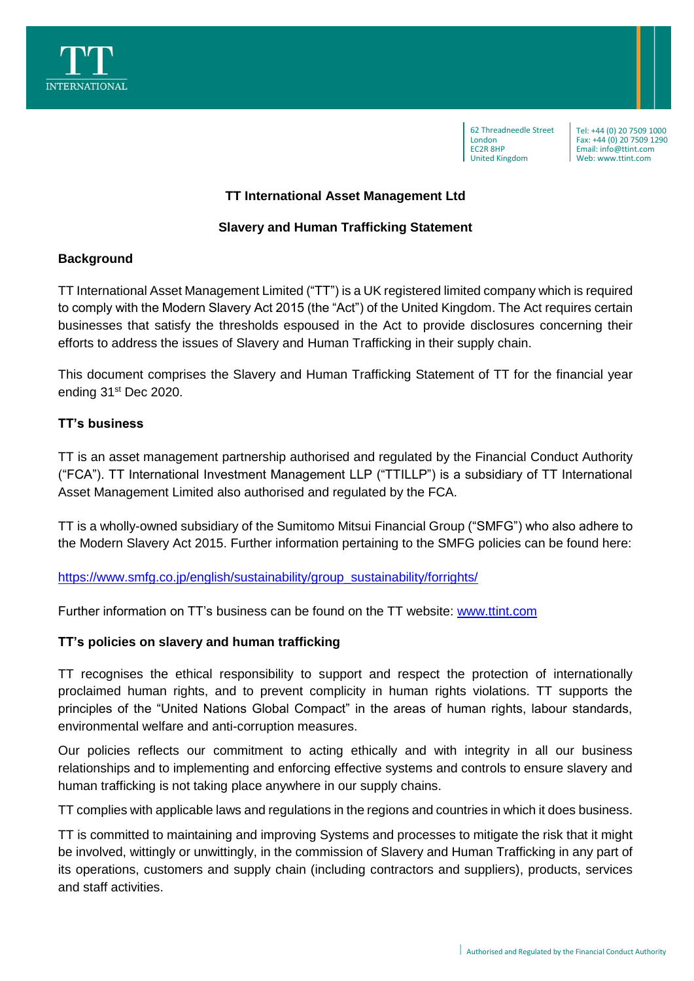

62 Threadneedle Street London EC2R 8HP United Kingdom

Tel: +44 (0) 20 7509 1000 Fax: +44 (0) 20 7509 1290 Email: info@ttint.com Web: www.ttint.com

### **TT International Asset Management Ltd**

### **Slavery and Human Trafficking Statement**

### **Background**

TT International Asset Management Limited ("TT") is a UK registered limited company which is required to comply with the Modern Slavery Act 2015 (the "Act") of the United Kingdom. The Act requires certain businesses that satisfy the thresholds espoused in the Act to provide disclosures concerning their efforts to address the issues of Slavery and Human Trafficking in their supply chain.

This document comprises the Slavery and Human Trafficking Statement of TT for the financial year ending 31<sup>st</sup> Dec 2020.

### **TT's business**

TT is an asset management partnership authorised and regulated by the Financial Conduct Authority ("FCA"). TT International Investment Management LLP ("TTILLP") is a subsidiary of TT International Asset Management Limited also authorised and regulated by the FCA.

TT is a wholly-owned subsidiary of the Sumitomo Mitsui Financial Group ("SMFG") who also adhere to the Modern Slavery Act 2015. Further information pertaining to the SMFG policies can be found here:

[https://www.smfg.co.jp/english/sustainability/group\\_sustainability/forrights/](https://www.smfg.co.jp/english/sustainability/group_sustainability/forrights/)

Further information on TT's business can be found on the TT website: [www.ttint.com](http://www.ttint.com/)

#### **TT's policies on slavery and human trafficking**

TT recognises the ethical responsibility to support and respect the protection of internationally proclaimed human rights, and to prevent complicity in human rights violations. TT supports the principles of the "United Nations Global Compact" in the areas of human rights, labour standards, environmental welfare and anti-corruption measures.

Our policies reflects our commitment to acting ethically and with integrity in all our business relationships and to implementing and enforcing effective systems and controls to ensure slavery and human trafficking is not taking place anywhere in our supply chains.

TT complies with applicable laws and regulations in the regions and countries in which it does business.

TT is committed to maintaining and improving Systems and processes to mitigate the risk that it might be involved, wittingly or unwittingly, in the commission of Slavery and Human Trafficking in any part of its operations, customers and supply chain (including contractors and suppliers), products, services and staff activities.